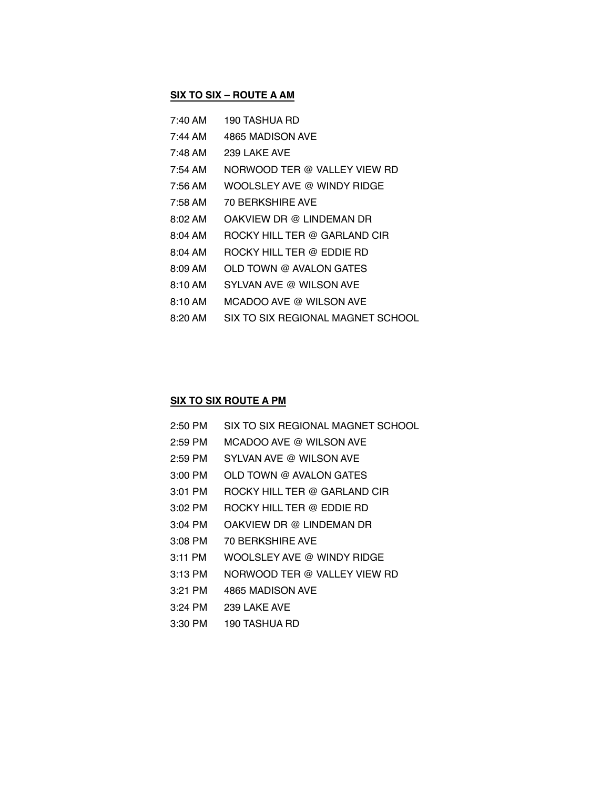## **SIX TO SIX – ROUTE A AM**

| 7:40 AM   | 190 TASHUA RD                     |
|-----------|-----------------------------------|
| 7:44 AM   | 4865 MADISON AVE                  |
| 7:48 AM   | 239 LAKE AVE                      |
| 7:54 AM   | NORWOOD TER @ VALLEY VIEW RD      |
| 7:56 AM   | WOOLSLEY AVE @ WINDY RIDGE        |
| 7:58 AM   | <b>70 BERKSHIRE AVE</b>           |
| 8:02 AM   | OAKVIEW DR @ LINDEMAN DR          |
| 8:04 AM   | ROCKY HILL TER @ GARLAND CIR      |
| $8:04$ AM | ROCKY HILL TER @ EDDIE RD         |
| $8:09$ AM | OLD TOWN @ AVALON GATES           |
| 8:10 AM   | SYLVAN AVE @ WILSON AVE           |
| $8:10$ AM | MCADOO AVE @ WILSON AVE           |
| 8:20 AM   | SIX TO SIX REGIONAL MAGNET SCHOOL |

## **SIX TO SIX ROUTE A PM**

| $2:50$ PM | SIX TO SIX REGIONAL MAGNET SCHOOL |
|-----------|-----------------------------------|
| $2:59$ PM | MCADOO AVE @ WILSON AVE           |
| $2:59$ PM | SYLVAN AVE @ WILSON AVE           |
| $3:00$ PM | OLD TOWN @ AVALON GATES           |
| 3:01 PM   | ROCKY HILL TER @ GARLAND CIR      |
| $3:02$ PM | ROCKY HILL TER @ EDDIE RD         |
| $3:04$ PM | OAKVIEW DR @ LINDEMAN DR          |
| $3:08$ PM | <b>70 BERKSHIRE AVE</b>           |
| 3:11 PM   | WOOLSLEY AVE @ WINDY RIDGE        |
| $3:13$ PM | NORWOOD TER @ VALLEY VIEW RD      |
| $3:21$ PM | 4865 MADISON AVE                  |
| $3:24$ PM | 239 LAKE AVE                      |
| 3:30 PM   | 190 TASHUA RD                     |